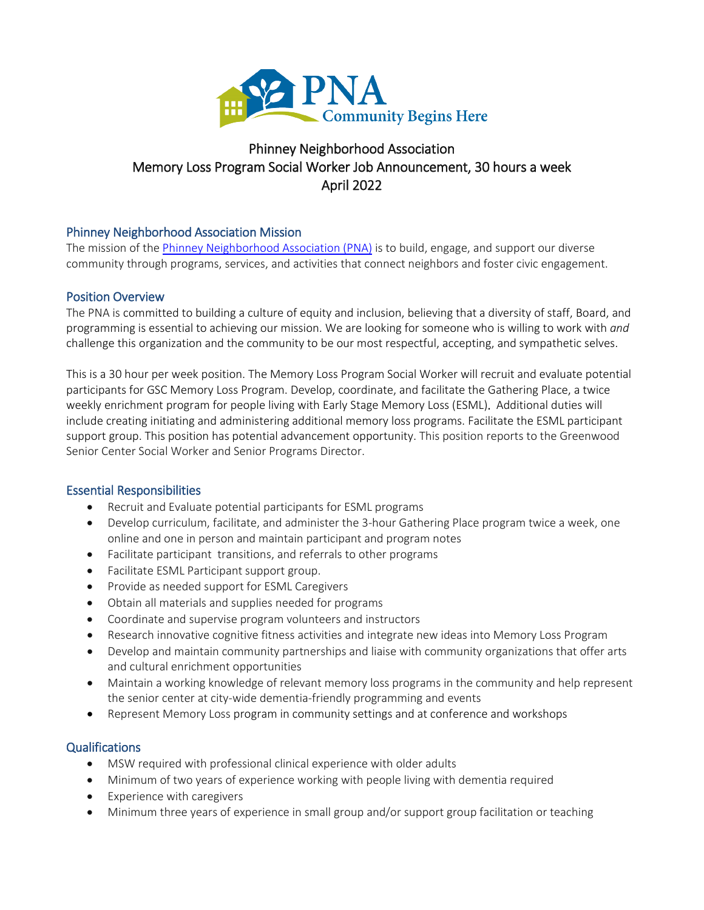

# Phinney Neighborhood Association Memory Loss Program Social Worker Job Announcement, 30 hours a week April 2022

## Phinney Neighborhood Association Mission

The mission of th[e Phinney Neighborhood Association](http://www.phinneycenter.org/) (PNA) is to build, engage, and support our diverse community through programs, services, and activities that connect neighbors and foster civic engagement.

### Position Overview

The PNA is committed to building a culture of equity and inclusion, believing that a diversity of staff, Board, and programming is essential to achieving our mission. We are looking for someone who is willing to work with *and* challenge this organization and the community to be our most respectful, accepting, and sympathetic selves.

This is a 30 hour per week position. The Memory Loss Program Social Worker will recruit and evaluate potential participants for GSC Memory Loss Program. Develop, coordinate, and facilitate the Gathering Place, a twice weekly enrichment program for people living with Early Stage Memory Loss (ESML). Additional duties will include creating initiating and administering additional memory loss programs. Facilitate the ESML participant support group. This position has potential advancement opportunity. This position reports to the Greenwood Senior Center Social Worker and Senior Programs Director.

### Essential Responsibilities

- Recruit and Evaluate potential participants for ESML programs
- Develop curriculum, facilitate, and administer the 3-hour Gathering Place program twice a week, one online and one in person and maintain participant and program notes
- Facilitate participant transitions, and referrals to other programs
- Facilitate ESML Participant support group.
- Provide as needed support for ESML Caregivers
- Obtain all materials and supplies needed for programs
- Coordinate and supervise program volunteers and instructors
- Research innovative cognitive fitness activities and integrate new ideas into Memory Loss Program
- Develop and maintain community partnerships and liaise with community organizations that offer arts and cultural enrichment opportunities
- Maintain a working knowledge of relevant memory loss programs in the community and help represent the senior center at city-wide dementia-friendly programming and events
- Represent Memory Loss program in community settings and at conference and workshops

### **Qualifications**

- MSW required with professional clinical experience with older adults
- Minimum of two years of experience working with people living with dementia required
- Experience with caregivers
- Minimum three years of experience in small group and/or support group facilitation or teaching